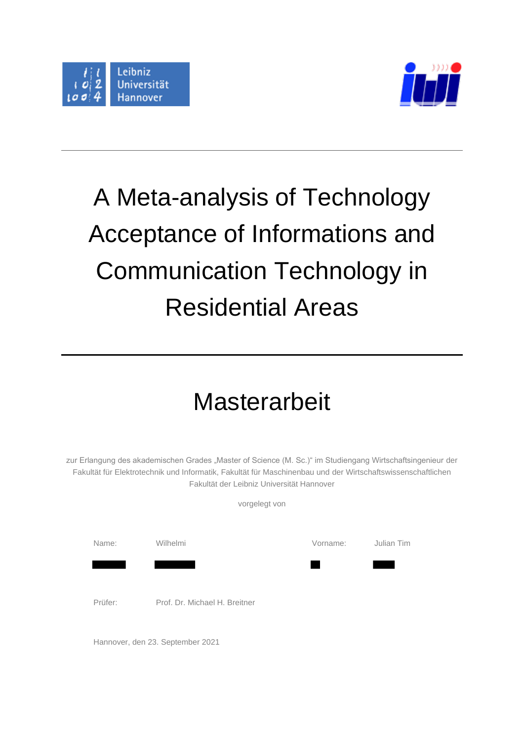

 $\mathbf{r}$ 



# A Meta-analysis of Technology Acceptance of Informations and Communication Technology in Residential Areas

## **Masterarbeit**

zur Erlangung des akademischen Grades "Master of Science (M. Sc.)" im Studiengang Wirtschaftsingenieur der Fakultät für Elektrotechnik und Informatik, Fakultät für Maschinenbau und der Wirtschaftswissenschaftlichen Fakultät der Leibniz Universität Hannover

|         | vorgelegt von                 |          |            |
|---------|-------------------------------|----------|------------|
| Name:   | Wilhelmi                      | Vorname: | Julian Tim |
| Prüfer: | Prof. Dr. Michael H. Breitner |          |            |

Hannover, den 23. September 2021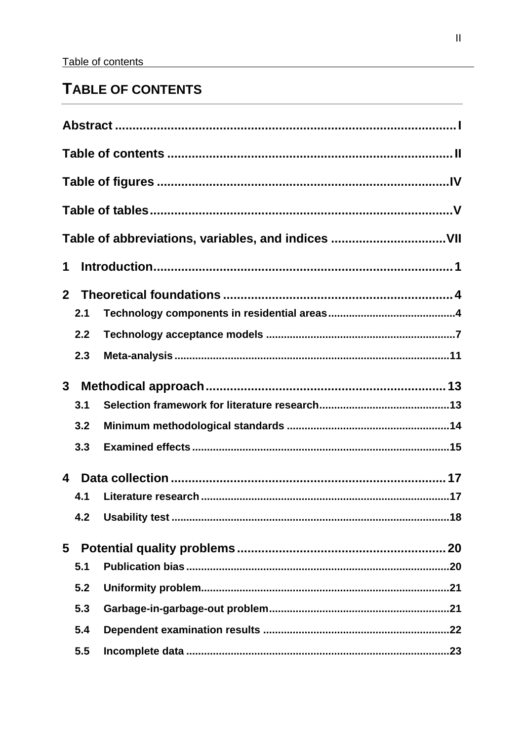## <span id="page-1-0"></span>TABLE OF CONTENTS

|                |     | Table of abbreviations, variables, and indices VII |
|----------------|-----|----------------------------------------------------|
| 1              |     |                                                    |
| 2 <sup>7</sup> |     |                                                    |
|                | 2.1 |                                                    |
|                | 2.2 |                                                    |
|                | 2.3 |                                                    |
| $3\phantom{a}$ |     |                                                    |
|                | 3.1 |                                                    |
|                | 3.2 |                                                    |
|                | 3.3 |                                                    |
| 4              |     |                                                    |
|                | 4.1 |                                                    |
|                | 4.2 |                                                    |
| 5              |     |                                                    |
|                | 5.1 |                                                    |
|                | 5.2 |                                                    |
|                | 5.3 |                                                    |
|                | 5.4 |                                                    |
|                | 5.5 |                                                    |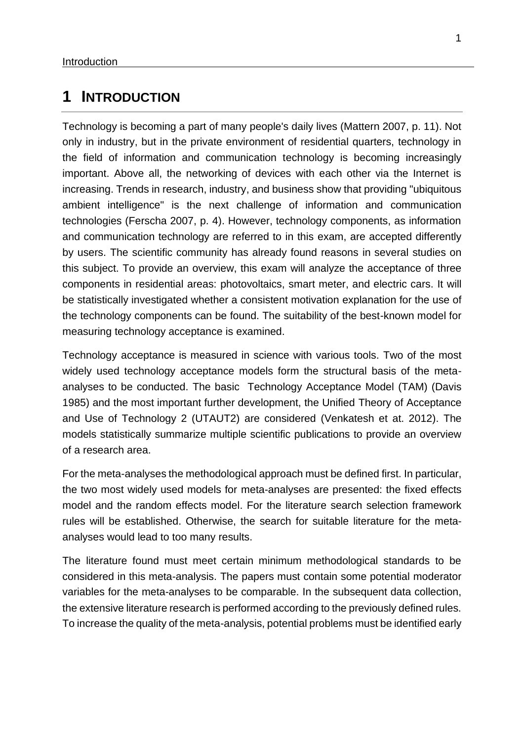## <span id="page-3-0"></span>**1 INTRODUCTION**

Technology is becoming a part of many people's daily lives (Mattern 2007, p. 11). Not only in industry, but in the private environment of residential quarters, technology in the field of information and communication technology is becoming increasingly important. Above all, the networking of devices with each other via the Internet is increasing. Trends in research, industry, and business show that providing "ubiquitous ambient intelligence" is the next challenge of information and communication technologies (Ferscha 2007, p. 4). However, technology components, as information and communication technology are referred to in this exam, are accepted differently by users. The scientific community has already found reasons in several studies on this subject. To provide an overview, this exam will analyze the acceptance of three components in residential areas: photovoltaics, smart meter, and electric cars. It will be statistically investigated whether a consistent motivation explanation for the use of the technology components can be found. The suitability of the best-known model for measuring technology acceptance is examined.

Technology acceptance is measured in science with various tools. Two of the most widely used technology acceptance models form the structural basis of the metaanalyses to be conducted. The basic Technology Acceptance Model (TAM) (Davis 1985) and the most important further development, the Unified Theory of Acceptance and Use of Technology 2 (UTAUT2) are considered (Venkatesh et at. 2012). The models statistically summarize multiple scientific publications to provide an overview of a research area.

For the meta-analyses the methodological approach must be defined first. In particular, the two most widely used models for meta-analyses are presented: the fixed effects model and the random effects model. For the literature search selection framework rules will be established. Otherwise, the search for suitable literature for the metaanalyses would lead to too many results.

The literature found must meet certain minimum methodological standards to be considered in this meta-analysis. The papers must contain some potential moderator variables for the meta-analyses to be comparable. In the subsequent data collection, the extensive literature research is performed according to the previously defined rules. To increase the quality of the meta-analysis, potential problems must be identified early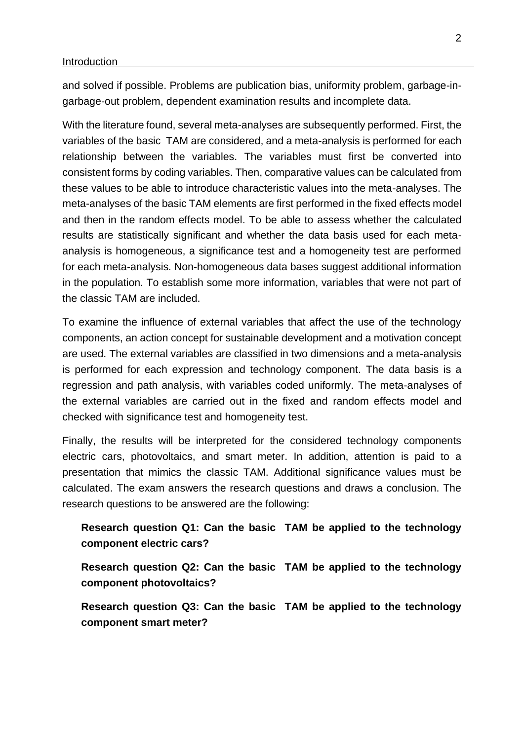#### Introduction

and solved if possible. Problems are publication bias, uniformity problem, garbage-ingarbage-out problem, dependent examination results and incomplete data.

With the literature found, several meta-analyses are subsequently performed. First, the variables of the basic TAM are considered, and a meta-analysis is performed for each relationship between the variables. The variables must first be converted into consistent forms by coding variables. Then, comparative values can be calculated from these values to be able to introduce characteristic values into the meta-analyses. The meta-analyses of the basic TAM elements are first performed in the fixed effects model and then in the random effects model. To be able to assess whether the calculated results are statistically significant and whether the data basis used for each metaanalysis is homogeneous, a significance test and a homogeneity test are performed for each meta-analysis. Non-homogeneous data bases suggest additional information in the population. To establish some more information, variables that were not part of the classic TAM are included.

To examine the influence of external variables that affect the use of the technology components, an action concept for sustainable development and a motivation concept are used. The external variables are classified in two dimensions and a meta-analysis is performed for each expression and technology component. The data basis is a regression and path analysis, with variables coded uniformly. The meta-analyses of the external variables are carried out in the fixed and random effects model and checked with significance test and homogeneity test.

Finally, the results will be interpreted for the considered technology components electric cars, photovoltaics, and smart meter. In addition, attention is paid to a presentation that mimics the classic TAM. Additional significance values must be calculated. The exam answers the research questions and draws a conclusion. The research questions to be answered are the following:

### **Research question Q1: Can the basic TAM be applied to the technology component electric cars?**

**Research question Q2: Can the basic TAM be applied to the technology component photovoltaics?**

**Research question Q3: Can the basic TAM be applied to the technology component smart meter?**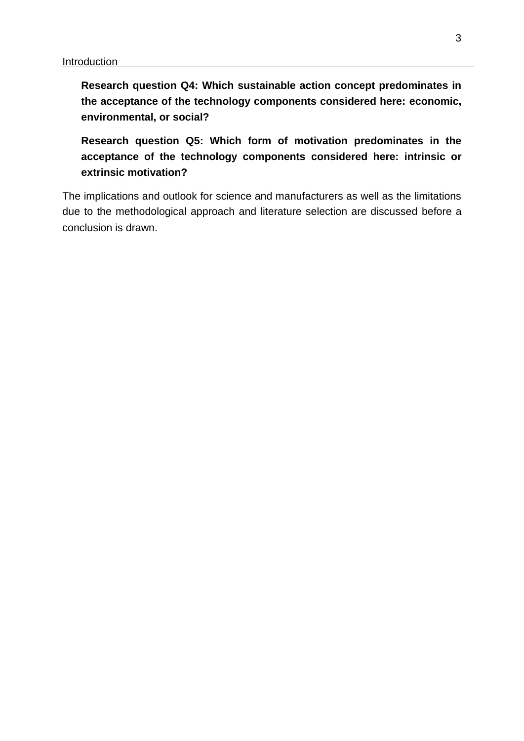**Research question Q4: Which sustainable action concept predominates in the acceptance of the technology components considered here: economic, environmental, or social?**

**Research question Q5: Which form of motivation predominates in the acceptance of the technology components considered here: intrinsic or extrinsic motivation?**

The implications and outlook for science and manufacturers as well as the limitations due to the methodological approach and literature selection are discussed before a conclusion is drawn.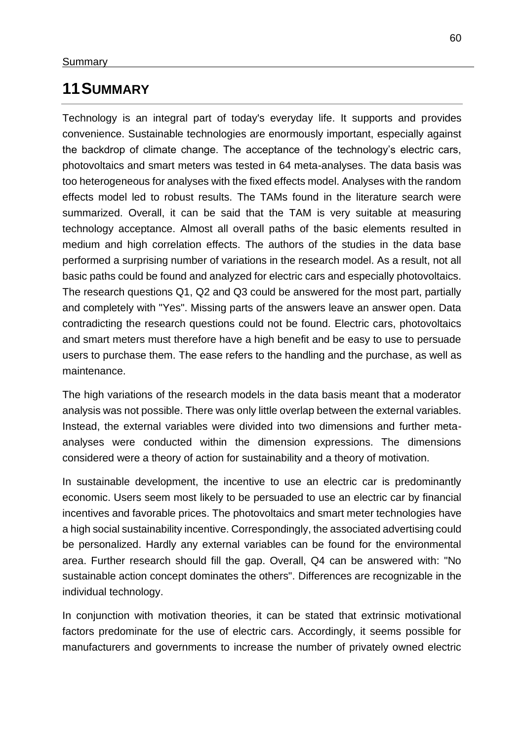## <span id="page-6-0"></span>**11SUMMARY**

Technology is an integral part of today's everyday life. It supports and provides convenience. Sustainable technologies are enormously important, especially against the backdrop of climate change. The acceptance of the technology's electric cars, photovoltaics and smart meters was tested in 64 meta-analyses. The data basis was too heterogeneous for analyses with the fixed effects model. Analyses with the random effects model led to robust results. The TAMs found in the literature search were summarized. Overall, it can be said that the TAM is very suitable at measuring technology acceptance. Almost all overall paths of the basic elements resulted in medium and high correlation effects. The authors of the studies in the data base performed a surprising number of variations in the research model. As a result, not all basic paths could be found and analyzed for electric cars and especially photovoltaics. The research questions Q1, Q2 and Q3 could be answered for the most part, partially and completely with "Yes". Missing parts of the answers leave an answer open. Data contradicting the research questions could not be found. Electric cars, photovoltaics and smart meters must therefore have a high benefit and be easy to use to persuade users to purchase them. The ease refers to the handling and the purchase, as well as maintenance.

The high variations of the research models in the data basis meant that a moderator analysis was not possible. There was only little overlap between the external variables. Instead, the external variables were divided into two dimensions and further metaanalyses were conducted within the dimension expressions. The dimensions considered were a theory of action for sustainability and a theory of motivation.

In sustainable development, the incentive to use an electric car is predominantly economic. Users seem most likely to be persuaded to use an electric car by financial incentives and favorable prices. The photovoltaics and smart meter technologies have a high social sustainability incentive. Correspondingly, the associated advertising could be personalized. Hardly any external variables can be found for the environmental area. Further research should fill the gap. Overall, Q4 can be answered with: "No sustainable action concept dominates the others". Differences are recognizable in the individual technology.

In conjunction with motivation theories, it can be stated that extrinsic motivational factors predominate for the use of electric cars. Accordingly, it seems possible for manufacturers and governments to increase the number of privately owned electric